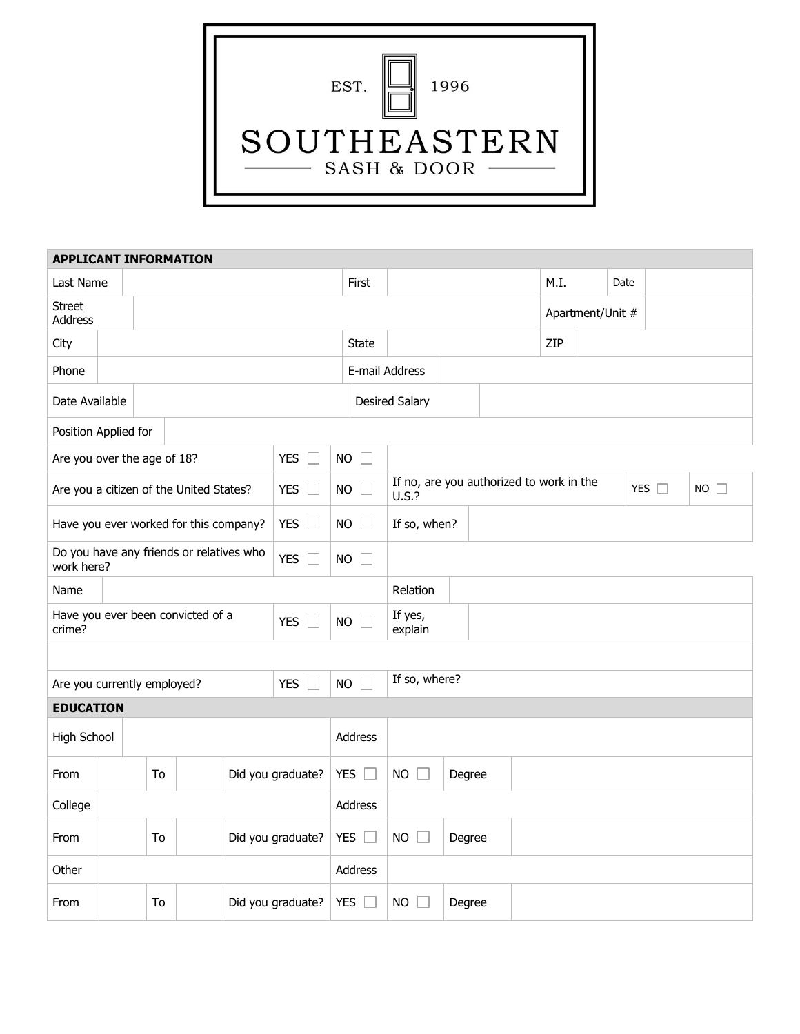| 1996<br>EST.                |
|-----------------------------|
| SOUTHEASTERN<br>SASH & DOOR |

| <b>APPLICANT INFORMATION</b>                                         |                         |    |                   |            |                   |           |                                                                    |                |        |      |  |                  |  |  |  |
|----------------------------------------------------------------------|-------------------------|----|-------------------|------------|-------------------|-----------|--------------------------------------------------------------------|----------------|--------|------|--|------------------|--|--|--|
| Last Name                                                            |                         |    |                   |            |                   | First     |                                                                    |                |        | M.I. |  | Date             |  |  |  |
| <b>Street</b><br>Address                                             |                         |    |                   |            |                   |           |                                                                    |                |        |      |  | Apartment/Unit # |  |  |  |
| City                                                                 |                         |    |                   |            |                   |           | <b>State</b>                                                       |                |        |      |  | ZIP              |  |  |  |
| Phone                                                                |                         |    |                   |            |                   |           |                                                                    | E-mail Address |        |      |  |                  |  |  |  |
| Date Available                                                       |                         |    |                   |            |                   |           | <b>Desired Salary</b>                                              |                |        |      |  |                  |  |  |  |
| Position Applied for                                                 |                         |    |                   |            |                   |           |                                                                    |                |        |      |  |                  |  |  |  |
| Are you over the age of 18?<br><b>YES</b>                            |                         |    |                   |            |                   | <b>NO</b> | $\mathcal{L}$                                                      |                |        |      |  |                  |  |  |  |
| <b>YES</b><br>Are you a citizen of the United States?                |                         |    |                   |            | <b>NO</b>         |           | If no, are you authorized to work in the<br>YES $\square$<br>U.S.? |                |        |      |  | $NO$ $\Box$      |  |  |  |
| <b>YES</b><br>Have you ever worked for this company?                 |                         |    |                   |            | <b>NO</b>         |           | If so, when?                                                       |                |        |      |  |                  |  |  |  |
| Do you have any friends or relatives who<br><b>YES</b><br>work here? |                         |    |                   |            | <b>NO</b>         | $\Box$    |                                                                    |                |        |      |  |                  |  |  |  |
| Name                                                                 |                         |    |                   |            |                   |           | Relation                                                           |                |        |      |  |                  |  |  |  |
| Have you ever been convicted of a<br><b>YES</b><br>crime?            |                         |    |                   |            | <b>NO</b>         |           | If yes,<br>explain                                                 |                |        |      |  |                  |  |  |  |
|                                                                      |                         |    |                   |            |                   |           |                                                                    |                |        |      |  |                  |  |  |  |
| <b>YES</b><br>Are you currently employed?                            |                         |    |                   |            | <b>NO</b>         |           | If so, where?                                                      |                |        |      |  |                  |  |  |  |
| <b>EDUCATION</b>                                                     |                         |    |                   |            |                   |           |                                                                    |                |        |      |  |                  |  |  |  |
| High School                                                          |                         |    |                   |            |                   | Address   |                                                                    |                |        |      |  |                  |  |  |  |
| From                                                                 |                         | To |                   |            | Did you graduate? |           | YES $\square$                                                      | <b>NO</b>      | Degree |      |  |                  |  |  |  |
| College                                                              |                         |    |                   |            |                   | Address   |                                                                    |                |        |      |  |                  |  |  |  |
| From                                                                 | Did you graduate?<br>To |    |                   | <b>YES</b> |                   | <b>NO</b> | Degree                                                             |                |        |      |  |                  |  |  |  |
| Other                                                                |                         |    |                   |            |                   | Address   |                                                                    |                |        |      |  |                  |  |  |  |
| To<br>From                                                           |                         |    | Did you graduate? |            | <b>YES</b>        | <b>NO</b> | Degree                                                             |                |        |      |  |                  |  |  |  |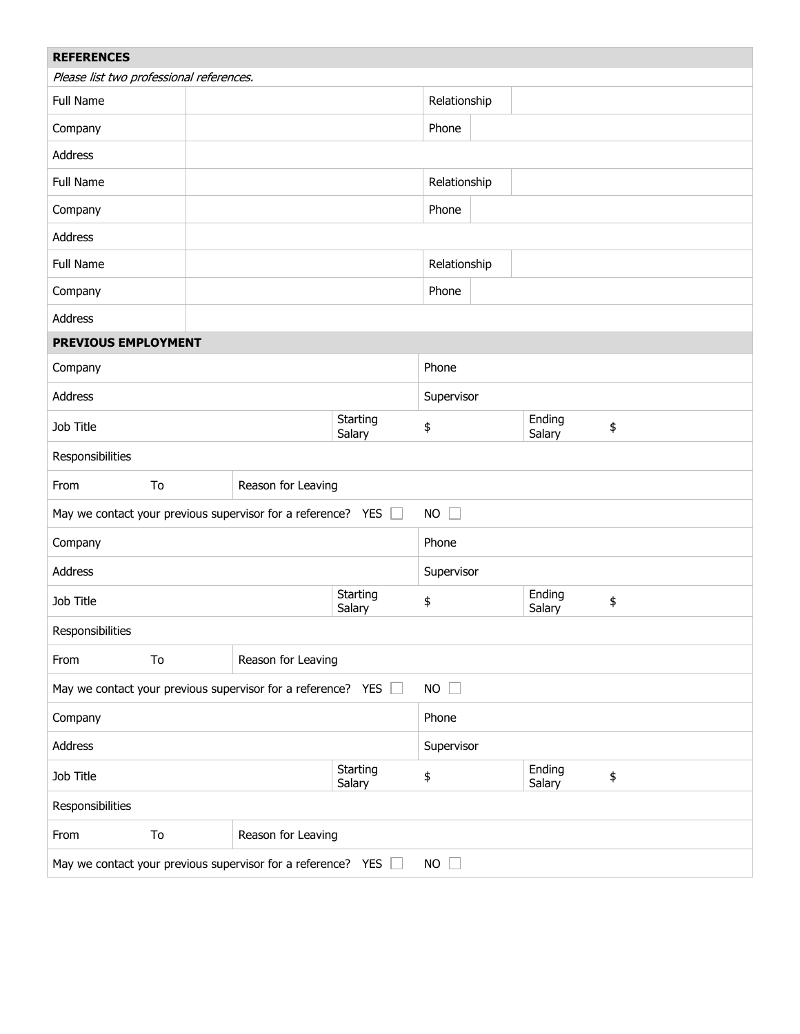| <b>REFERENCES</b>                                                           |    |                    |                    |                  |                  |    |  |  |  |  |
|-----------------------------------------------------------------------------|----|--------------------|--------------------|------------------|------------------|----|--|--|--|--|
| Please list two professional references.                                    |    |                    |                    |                  |                  |    |  |  |  |  |
| Full Name                                                                   |    |                    | Relationship       |                  |                  |    |  |  |  |  |
| Company                                                                     |    |                    | Phone              |                  |                  |    |  |  |  |  |
| Address                                                                     |    |                    |                    |                  |                  |    |  |  |  |  |
| Full Name                                                                   |    |                    |                    | Relationship     |                  |    |  |  |  |  |
| Company                                                                     |    |                    |                    | Phone            |                  |    |  |  |  |  |
| Address                                                                     |    |                    |                    |                  |                  |    |  |  |  |  |
| Full Name                                                                   |    |                    |                    | Relationship     |                  |    |  |  |  |  |
| Company                                                                     |    |                    |                    | Phone            |                  |    |  |  |  |  |
| Address                                                                     |    |                    |                    |                  |                  |    |  |  |  |  |
| PREVIOUS EMPLOYMENT                                                         |    |                    |                    |                  |                  |    |  |  |  |  |
| Company                                                                     |    |                    | Phone              |                  |                  |    |  |  |  |  |
| <b>Address</b>                                                              |    |                    | Supervisor         |                  |                  |    |  |  |  |  |
| Job Title                                                                   |    |                    | Starting<br>Salary | \$               | \$               |    |  |  |  |  |
| Salary<br>Responsibilities                                                  |    |                    |                    |                  |                  |    |  |  |  |  |
| From                                                                        | To | Reason for Leaving |                    |                  |                  |    |  |  |  |  |
| May we contact your previous supervisor for a reference? YES                |    |                    |                    |                  |                  |    |  |  |  |  |
| Company                                                                     |    |                    | Phone              |                  |                  |    |  |  |  |  |
| Address                                                                     |    |                    |                    | Supervisor       |                  |    |  |  |  |  |
| Job Title                                                                   |    |                    | Starting<br>Salary | \$               | Ending<br>Salary | \$ |  |  |  |  |
| Responsibilities                                                            |    |                    |                    |                  |                  |    |  |  |  |  |
| From                                                                        | To | Reason for Leaving |                    |                  |                  |    |  |  |  |  |
| $NO$ $\Box$<br>May we contact your previous supervisor for a reference? YES |    |                    |                    |                  |                  |    |  |  |  |  |
| Company                                                                     |    |                    | Phone              |                  |                  |    |  |  |  |  |
| Address                                                                     |    |                    | Supervisor         |                  |                  |    |  |  |  |  |
| Job Title                                                                   |    |                    | \$                 | Ending<br>Salary | \$               |    |  |  |  |  |
| Responsibilities                                                            |    |                    |                    |                  |                  |    |  |  |  |  |
| From                                                                        | To | Reason for Leaving |                    |                  |                  |    |  |  |  |  |
| May we contact your previous supervisor for a reference? YES<br>$NO$ $\Box$ |    |                    |                    |                  |                  |    |  |  |  |  |